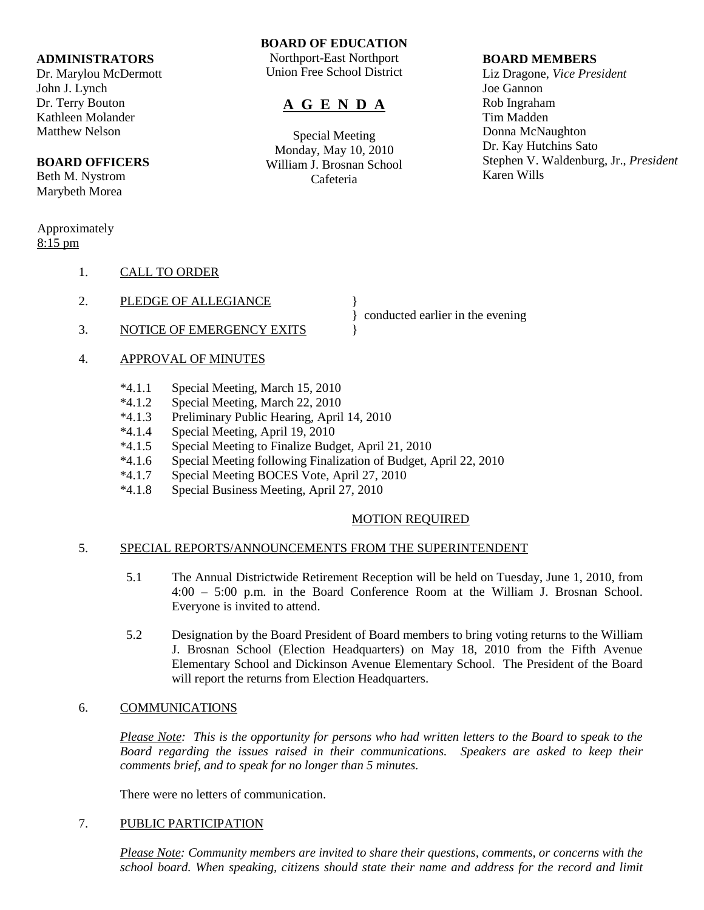#### **ADMINISTRATORS**

Dr. Marylou McDermott John J. Lynch Dr. Terry Bouton Kathleen Molander Matthew Nelson

### **BOARD OFFICERS**

Beth M. Nystrom Marybeth Morea

#### Approximately 8:15 pm

- 1. CALL TO ORDER
- 2. PLEDGE OF ALLEGIANCE
- 3. NOTICE OF EMERGENCY EXITS  $\{$
- 4. APPROVAL OF MINUTES
	- \*4.1.1 Special Meeting, March 15, 2010
	- \*4.1.2 Special Meeting, March 22, 2010
	- \*4.1.3 Preliminary Public Hearing, April 14, 2010
	- \*4.1.4 Special Meeting, April 19, 2010
	- \*4.1.5 Special Meeting to Finalize Budget, April 21, 2010
	- \*4.1.6 Special Meeting following Finalization of Budget, April 22, 2010
	- Special Meeting BOCES Vote, April 27, 2010
	- \*4.1.8 Special Business Meeting, April 27, 2010

# MOTION REQUIRED

} conducted earlier in the evening

#### 5. SPECIAL REPORTS/ANNOUNCEMENTS FROM THE SUPERINTENDENT

- 5.1 The Annual Districtwide Retirement Reception will be held on Tuesday, June 1, 2010, from 4:00 – 5:00 p.m. in the Board Conference Room at the William J. Brosnan School. Everyone is invited to attend.
- 5.2 Designation by the Board President of Board members to bring voting returns to the William J. Brosnan School (Election Headquarters) on May 18, 2010 from the Fifth Avenue Elementary School and Dickinson Avenue Elementary School. The President of the Board will report the returns from Election Headquarters.

# 6. COMMUNICATIONS

*Please Note: This is the opportunity for persons who had written letters to the Board to speak to the Board regarding the issues raised in their communications. Speakers are asked to keep their comments brief, and to speak for no longer than 5 minutes.*

There were no letters of communication.

# 7. PUBLIC PARTICIPATION

*Please Note: Community members are invited to share their questions, comments, or concerns with the school board. When speaking, citizens should state their name and address for the record and limit* 

# **BOARD OF EDUCATION**

Northport-East Northport Union Free School District

# **A G E N D A**

Special Meeting Monday, May 10, 2010 William J. Brosnan School Cafeteria

#### **BOARD MEMBERS**

Liz Dragone, *Vice President* Joe Gannon Rob Ingraham Tim Madden Donna McNaughton Dr. Kay Hutchins Sato Stephen V. Waldenburg, Jr., *President* Karen Wills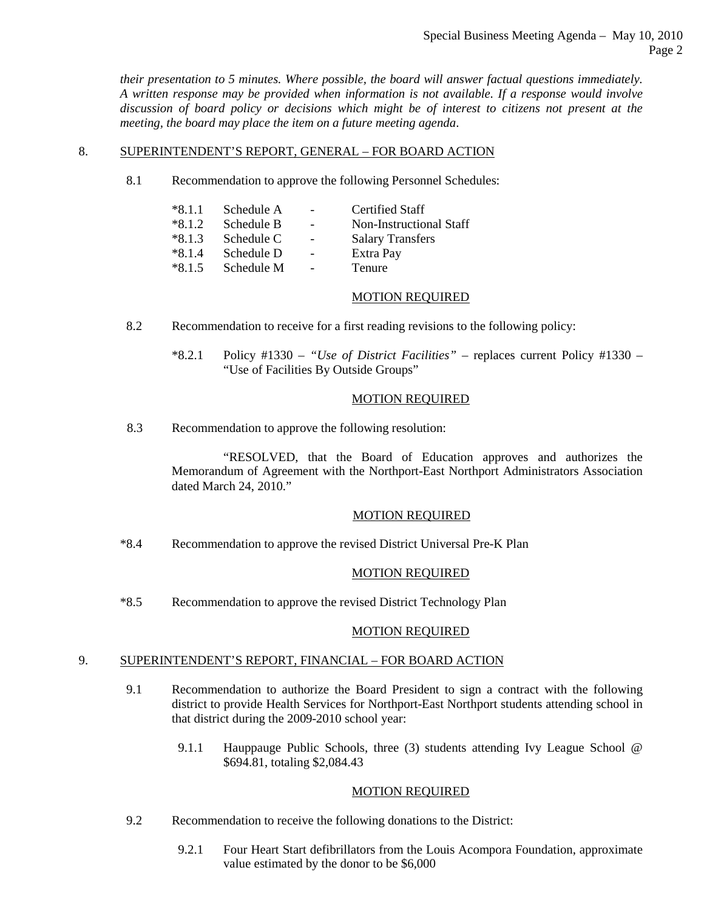*their presentation to 5 minutes. Where possible, the board will answer factual questions immediately. A written response may be provided when information is not available. If a response would involve discussion of board policy or decisions which might be of interest to citizens not present at the meeting, the board may place the item on a future meeting agenda*.

# 8. SUPERINTENDENT'S REPORT, GENERAL – FOR BOARD ACTION

8.1 Recommendation to approve the following Personnel Schedules:

| $*8.1.1$ | Schedule A |                          | <b>Certified Staff</b>  |
|----------|------------|--------------------------|-------------------------|
|          |            |                          |                         |
| $*8.1.2$ | Schedule B |                          | Non-Instructional Staff |
| $*8.1.3$ | Schedule C |                          | <b>Salary Transfers</b> |
| $*8.1.4$ | Schedule D | $\overline{\phantom{a}}$ | Extra Pay               |
| $*8.1.5$ | Schedule M | $\overline{\phantom{a}}$ | Tenure                  |
|          |            |                          |                         |

# MOTION REQUIRED

- 8.2 Recommendation to receive for a first reading revisions to the following policy:
	- \*8.2.1 Policy #1330 *"Use of District Facilities"* replaces current Policy #1330 "Use of Facilities By Outside Groups"

#### MOTION REQUIRED

8.3 Recommendation to approve the following resolution:

"RESOLVED, that the Board of Education approves and authorizes the Memorandum of Agreement with the Northport-East Northport Administrators Association dated March 24, 2010."

#### MOTION REQUIRED

\*8.4 Recommendation to approve the revised District Universal Pre-K Plan

# MOTION REQUIRED

\*8.5 Recommendation to approve the revised District Technology Plan

# MOTION REQUIRED

# 9. SUPERINTENDENT'S REPORT, FINANCIAL – FOR BOARD ACTION

- 9.1 Recommendation to authorize the Board President to sign a contract with the following district to provide Health Services for Northport-East Northport students attending school in that district during the 2009-2010 school year:
	- 9.1.1 Hauppauge Public Schools, three (3) students attending Ivy League School @ \$694.81, totaling \$2,084.43

# MOTION REQUIRED

- 9.2 Recommendation to receive the following donations to the District:
	- 9.2.1 Four Heart Start defibrillators from the Louis Acompora Foundation, approximate value estimated by the donor to be \$6,000